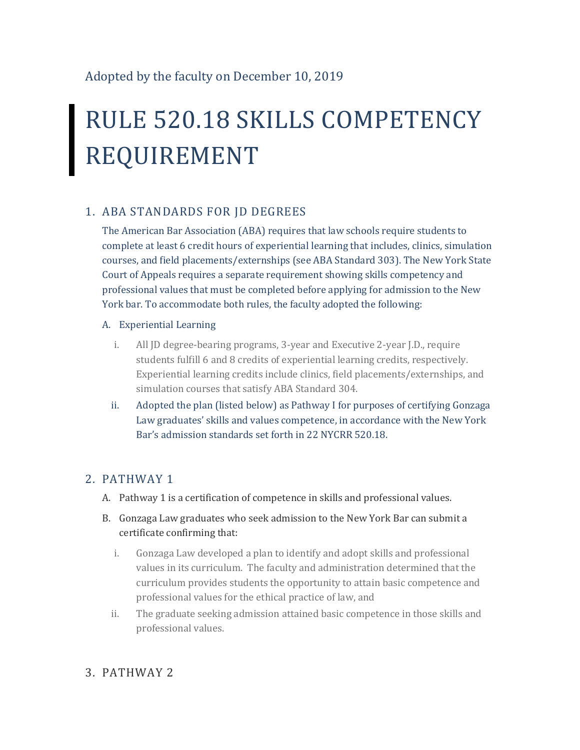# RULE 520.18 SKILLS COMPETENCY REQUIREMENT

## 1. ABA STANDARDS FOR JD DEGREES

The American Bar Association (ABA) requires that law schools require students to complete at least 6 credit hours of experiential learning that includes, clinics, simulation courses, and field placements/externships (see ABA Standard 303). The New York State Court of Appeals requires a separate requirement showing skills competency and professional values that must be completed before applying for admission to the New York bar. To accommodate both rules, the faculty adopted the following:

#### A. Experiential Learning

- i. All JD degree-bearing programs, 3-year and Executive 2-year J.D., require students fulfill 6 and 8 credits of experiential learning credits, respectively. Experiential learning credits include clinics, field placements/externships, and simulation courses that satisfy ABA Standard 304.
- ii. Adopted the plan (listed below) as Pathway I for purposes of certifying Gonzaga Law graduates' skills and values competence, in accordance with the New York Bar's admission standards set forth in 22 NYCRR 520.18.

### 2. PATHWAY 1

- A. Pathway 1 is a certification of competence in skills and professional values.
- B. Gonzaga Law graduates who seek admission to the New York Bar can submit a certificate confirming that:
	- i. Gonzaga Law developed a plan to identify and adopt skills and professional values in its curriculum. The faculty and administration determined that the curriculum provides students the opportunity to attain basic competence and professional values for the ethical practice of law, and
	- ii. The graduate seeking admission attained basic competence in those skills and professional values.

### 3. PATHWAY 2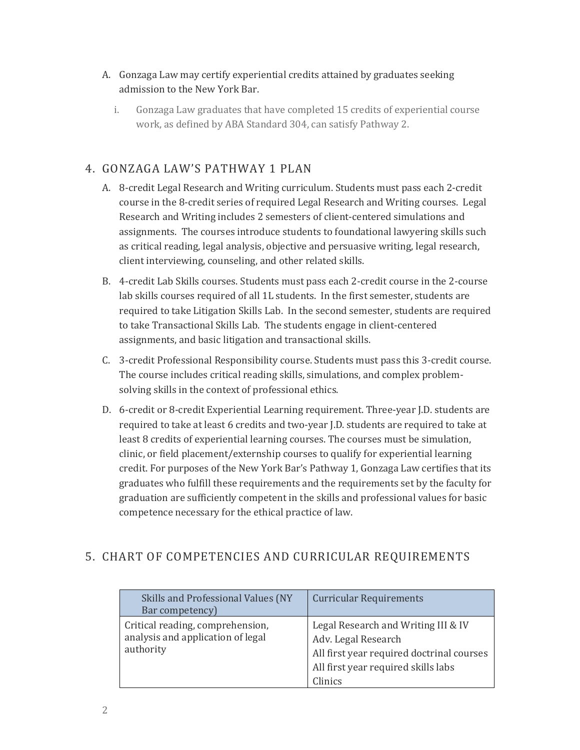#### A. Gonzaga Law may certify experiential credits attained by graduates seeking admission to the New York Bar.

i. Gonzaga Law graduates that have completed 15 credits of experiential course work, as defined by ABA Standard 304, can satisfy Pathway 2.

## 4. GONZAGA LAW'S PATHWAY 1 PLAN

- A. 8-credit Legal Research and Writing curriculum. Students must pass each 2-credit course in the 8-credit series of required Legal Research and Writing courses. Legal Research and Writing includes 2 semesters of client-centered simulations and assignments. The courses introduce students to foundational lawyering skills such as critical reading, legal analysis, objective and persuasive writing, legal research, client interviewing, counseling, and other related skills.
- B. 4-credit Lab Skills courses. Students must pass each 2-credit course in the 2-course lab skills courses required of all 1L students. In the first semester, students are required to take Litigation Skills Lab. In the second semester, students are required to take Transactional Skills Lab. The students engage in client-centered assignments, and basic litigation and transactional skills.
- C. 3-credit Professional Responsibility course. Students must pass this 3-credit course. The course includes critical reading skills, simulations, and complex problemsolving skills in the context of professional ethics.
- D. 6-credit or 8-credit Experiential Learning requirement. Three-year J.D. students are required to take at least 6 credits and two-year J.D. students are required to take at least 8 credits of experiential learning courses. The courses must be simulation, clinic, or field placement/externship courses to qualify for experiential learning credit. For purposes of the New York Bar's Pathway 1, Gonzaga Law certifies that its graduates who fulfill these requirements and the requirements set by the faculty for graduation are sufficiently competent in the skills and professional values for basic competence necessary for the ethical practice of law.

### 5. CHART OF COMPETENCIES AND CURRICULAR REQUIREMENTS

| Skills and Professional Values (NY<br>Bar competency)                              | <b>Curricular Requirements</b>                                                                                                                            |
|------------------------------------------------------------------------------------|-----------------------------------------------------------------------------------------------------------------------------------------------------------|
| Critical reading, comprehension,<br>analysis and application of legal<br>authority | Legal Research and Writing III & IV<br>Adv. Legal Research<br>All first year required doctrinal courses<br>All first year required skills labs<br>Clinics |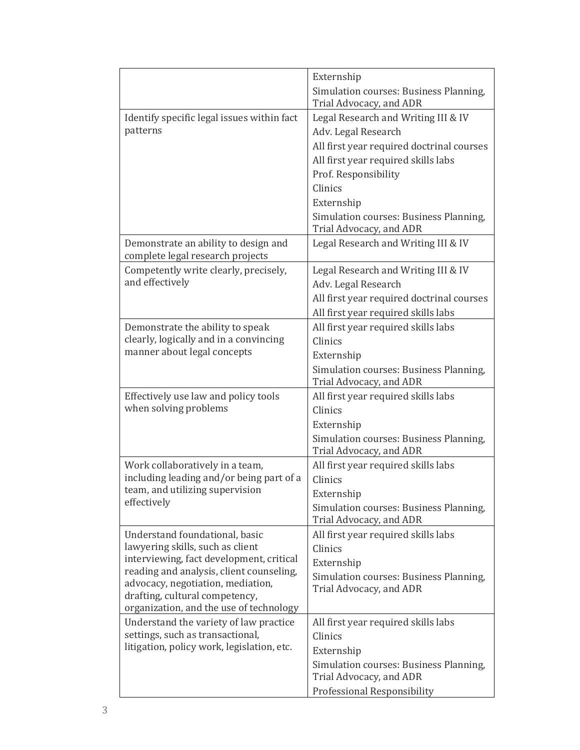|                                                                                                                                                                                                                                                                              | Externship<br>Simulation courses: Business Planning,<br>Trial Advocacy, and ADR                                                                                                                                                                                      |
|------------------------------------------------------------------------------------------------------------------------------------------------------------------------------------------------------------------------------------------------------------------------------|----------------------------------------------------------------------------------------------------------------------------------------------------------------------------------------------------------------------------------------------------------------------|
| Identify specific legal issues within fact<br>patterns                                                                                                                                                                                                                       | Legal Research and Writing III & IV<br>Adv. Legal Research<br>All first year required doctrinal courses<br>All first year required skills labs<br>Prof. Responsibility<br>Clinics<br>Externship<br>Simulation courses: Business Planning,<br>Trial Advocacy, and ADR |
| Demonstrate an ability to design and<br>complete legal research projects                                                                                                                                                                                                     | Legal Research and Writing III & IV                                                                                                                                                                                                                                  |
| Competently write clearly, precisely,<br>and effectively                                                                                                                                                                                                                     | Legal Research and Writing III & IV<br>Adv. Legal Research<br>All first year required doctrinal courses<br>All first year required skills labs                                                                                                                       |
| Demonstrate the ability to speak<br>clearly, logically and in a convincing<br>manner about legal concepts                                                                                                                                                                    | All first year required skills labs<br>Clinics<br>Externship<br>Simulation courses: Business Planning,<br>Trial Advocacy, and ADR                                                                                                                                    |
| Effectively use law and policy tools<br>when solving problems                                                                                                                                                                                                                | All first year required skills labs<br>Clinics<br>Externship<br>Simulation courses: Business Planning,<br>Trial Advocacy, and ADR                                                                                                                                    |
| Work collaboratively in a team,<br>including leading and/or being part of a<br>team, and utilizing supervision<br>effectively                                                                                                                                                | All first year required skills labs<br>Clinics<br>Externship<br>Simulation courses: Business Planning,<br>Trial Advocacy, and ADR                                                                                                                                    |
| Understand foundational, basic<br>lawyering skills, such as client<br>interviewing, fact development, critical<br>reading and analysis, client counseling,<br>advocacy, negotiation, mediation,<br>drafting, cultural competency,<br>organization, and the use of technology | All first year required skills labs<br>Clinics<br>Externship<br>Simulation courses: Business Planning,<br>Trial Advocacy, and ADR                                                                                                                                    |
| Understand the variety of law practice<br>settings, such as transactional,<br>litigation, policy work, legislation, etc.                                                                                                                                                     | All first year required skills labs<br>Clinics<br>Externship<br>Simulation courses: Business Planning,<br>Trial Advocacy, and ADR<br>Professional Responsibility                                                                                                     |